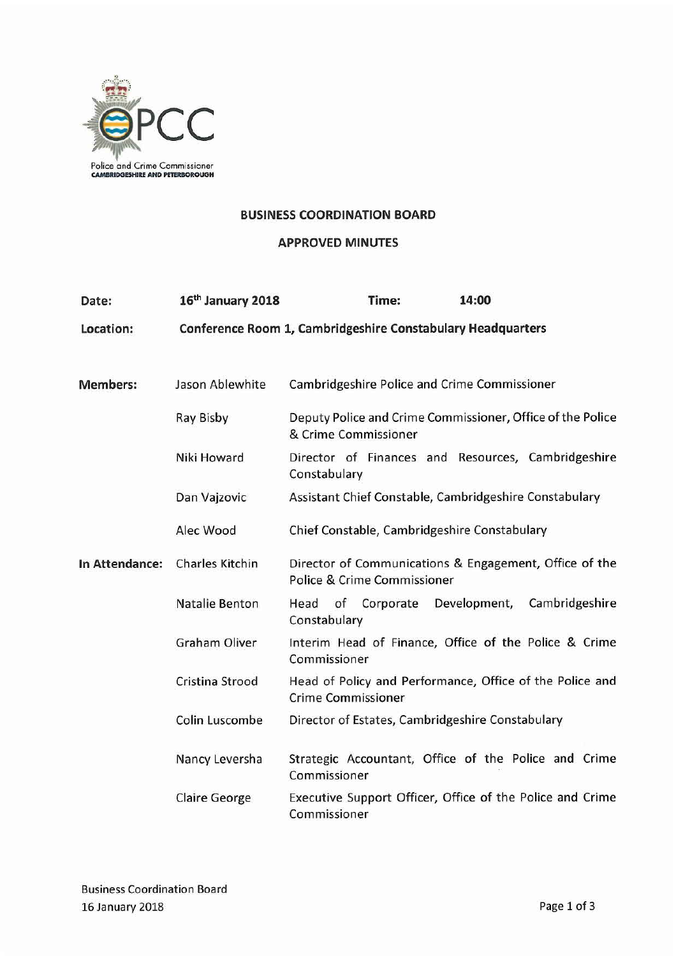

#### **BUSINESS COORDINATION BOARD**

#### APPROVED MINUTES

| Date:           | 16th January 2018      | Time:                                                                                                  | 14:00                          |  |
|-----------------|------------------------|--------------------------------------------------------------------------------------------------------|--------------------------------|--|
| Location:       |                        | Conference Room 1, Cambridgeshire Constabulary Headquarters                                            |                                |  |
|                 |                        |                                                                                                        |                                |  |
| <b>Members:</b> | Jason Ablewhite        | <b>Cambridgeshire Police and Crime Commissioner</b>                                                    |                                |  |
|                 | Ray Bisby              | Deputy Police and Crime Commissioner, Office of the Police<br>& Crime Commissioner                     |                                |  |
|                 | Niki Howard            | Director of Finances and Resources, Cambridgeshire<br>Constabulary                                     |                                |  |
|                 | Dan Vajzovic           | Assistant Chief Constable, Cambridgeshire Constabulary<br>Chief Constable, Cambridgeshire Constabulary |                                |  |
|                 | Alec Wood              |                                                                                                        |                                |  |
| In Attendance:  | <b>Charles Kitchin</b> | Director of Communications & Engagement, Office of the<br>Police & Crime Commissioner                  |                                |  |
|                 | <b>Natalie Benton</b>  | Head of Corporate<br>Constabulary                                                                      | Development,<br>Cambridgeshire |  |
|                 | <b>Graham Oliver</b>   | Interim Head of Finance, Office of the Police & Crime<br>Commissioner                                  |                                |  |
|                 | Cristina Strood        | Head of Policy and Performance, Office of the Police and<br><b>Crime Commissioner</b>                  |                                |  |
|                 | Colin Luscombe         | Director of Estates, Cambridgeshire Constabulary                                                       |                                |  |
|                 | Nancy Leversha         | Strategic Accountant, Office of the Police and Crime<br>Commissioner                                   |                                |  |
|                 | <b>Claire George</b>   | Executive Support Officer, Office of the Police and Crime<br>Commissioner                              |                                |  |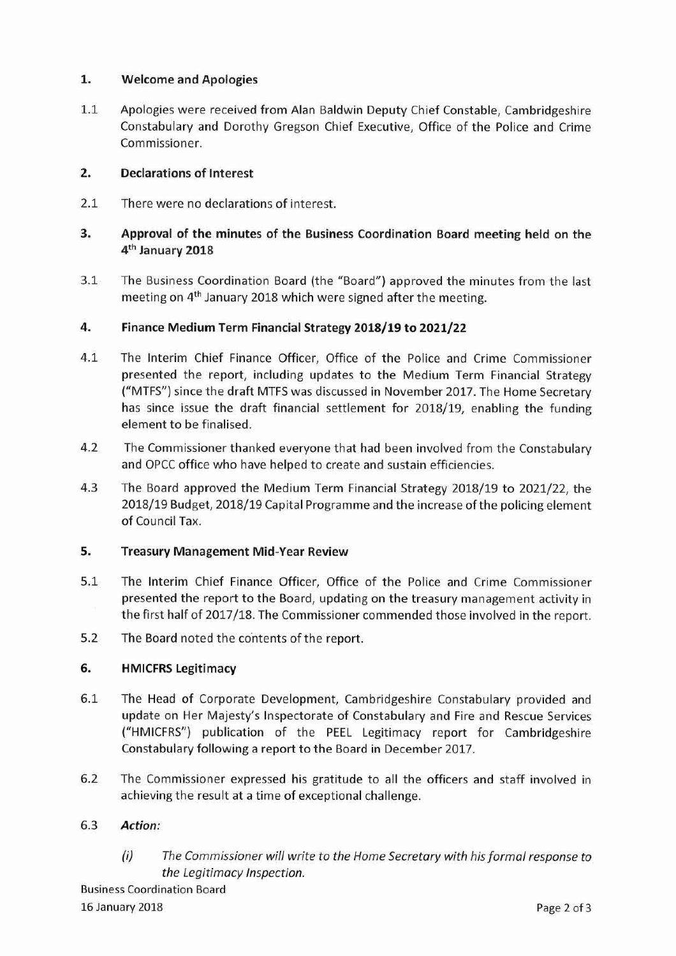## 1. Welcome and Apologies

1.1 Apologies were received from Alan Baldwin Deputy Chief Constable, Cambridgeshire Constabulary and Dorothy Gregson Chief Executive, Office of the Police and Crime Commissioner.

## 2. Declarations of Interest

2.1 There were no declarations of interest.

# 3. Approval of the minutes of the Business Coordination Board meeting held on the 4th January 2018

3.1 The Business Coordination Board (the "Board") approved the minutes from the last meeting on 4<sup>th</sup> January 2018 which were signed after the meeting.

### 4. Finance Medium Term Financial Strategy 2018/19 to 2021/22

- 4.1 The Interim Chief Finance Officer, Office of the Police and Crime Commissioner presented the report, including updates to the Medium Term Financial Strategy ("MTFS") since the draft MTFS was discussed in November 2017. The Home Secretary has since issue the draft financial settlement for 2018/19, enabling the funding element to be finalised.
- 4.2 The Commissioner thanked everyone that had been involved from the Constabulary and OPCC office who have helped to create and sustain efficiencies.
- 4.3 The Board approved the Medium Term Financial Strategy 2018/19 to 2021/22, the 2018/19 Budget, 2018/19 Capital Programme and the increase of the policing element of Council Tax.

#### s. Treasury Management Mid-Year Review

- 5.1 The Interim Chief Finance Officer, Office of the Police and Crime Commissioner presented the report to the Board, updating on the treasury management activity in the first half of 2017/18. The Commissioner commended those involved in the report.
- 5.2 The Board noted the contents of the report.

# 6. HMICFRSLegitimacy

- 6.1 The Head of Corporate Development, Cambridgeshire Constabulary provided and update on Her Majesty's Inspectorate of Constabulary and Fire and Rescue Services ("HMICFRS") publication of the PEEL Legitimacy report for Cambridgeshire Constabulary following a report to the Board in December 2017.
- 6.2 The Commissioner expressed his gratitude to all the officers and staff involved in achieving the result at a time of exceptional challenge.

#### *6.3 Action:*

*(i) The Commissioner will write* to *the Home Secretary with his formal response* to *the Legitimacy Inspection.*